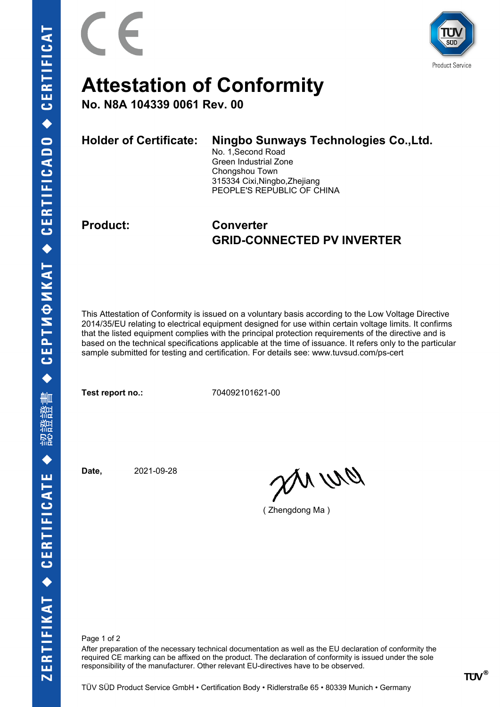



## **Attestation of Conformity**

**No. N8A 104339 0061 Rev. 00**

| <b>Holder of Certificate:</b> | Ningbo Sunways Technologies Co., Ltd.<br>No. 1, Second Road<br>Green Industrial Zone<br>Chongshou Town<br>315334 Cixi, Ningbo, Zhejiang<br>PEOPLE'S REPUBLIC OF CHINA |
|-------------------------------|-----------------------------------------------------------------------------------------------------------------------------------------------------------------------|
|                               |                                                                                                                                                                       |

### **Product: Converter GRID-CONNECTED PV INVERTER**

This Attestation of Conformity is issued on a voluntary basis according to the Low Voltage Directive 2014/35/EU relating to electrical equipment designed for use within certain voltage limits. It confirms that the listed equipment complies with the principal protection requirements of the directive and is based on the technical specifications applicable at the time of issuance. It refers only to the particular sample submitted for testing and certification. For details see: www.tuvsud.com/ps-cert

**Test report no.:** 704092101621-00

**Date,** 2021-09-28

an wa

( Zhengdong Ma )

Page 1 of 2

After preparation of the necessary technical documentation as well as the EU declaration of conformity the required CE marking can be affixed on the product. The declaration of conformity is issued under the sole responsibility of the manufacturer. Other relevant EU-directives have to be observed.